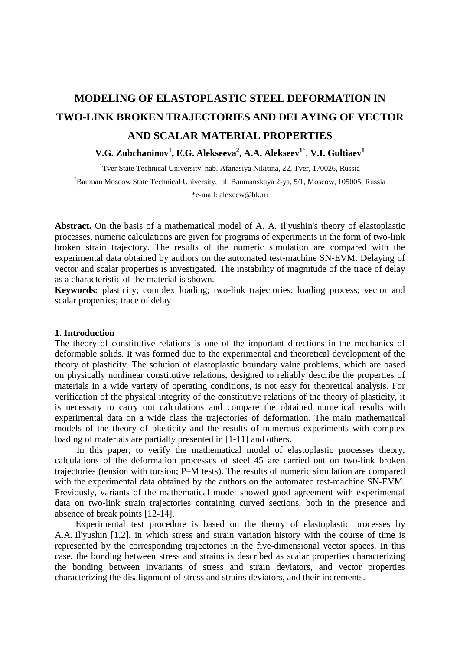# **MODELING OF ELASTOPLASTIC STEEL DEFORMATION IN TWO-LINK BROKEN TRAJECTORIES AND DELAYING OF VECTOR AND SCALAR MATERIAL PROPERTIES**

# $\bf{V.G.}$  Zubchaninov<sup>1</sup>, E.G. Alekseeva<sup>2</sup>, A.A. Alekseev<sup>1\*</sup>, V.I. Gultiaev<sup>1</sup>

<sup>1</sup>Tver State Technical University, nab. Afanasiya Nikitina, 22, Tver, 170026, Russia <sup>2</sup>Bauman Moscow State Technical University, ul. Baumanskaya 2-ya, 5/1, Moscow, 105005, Russia \*e-mail: alexeew@bk.ru

**Abstract.** On the basis of a mathematical model of A. A. Il'yushin's theory of elastoplastic processes, numeric calculations are given for programs of experiments in the form of two-link broken strain trajectory. The results of the numeric simulation are compared with the experimental data obtained by authors on the automated test-machine SN-EVM. Delaying of vector and scalar properties is investigated. The instability of magnitude of the trace of delay as a characteristic of the material is shown.

**Keywords:** plasticity; complex loading; two-link trajectories; loading process; vector and scalar properties; trace of delay

## **1. Introduction**

The theory of constitutive relations is one of the important directions in the mechanics of deformable solids. It was formed due to the experimental and theoretical development of the theory of plasticity. The solution of elastoplastic boundary value problems, which are based on physically nonlinear constitutive relations, designed to reliably describe the properties of materials in a wide variety of operating conditions, is not easy for theoretical analysis. For verification of the physical integrity of the constitutive relations of the theory of plasticity, it is necessary to carry out calculations and compare the obtained numerical results with experimental data on a wide class the trajectories of deformation. The main mathematical models of the theory of plasticity and the results of numerous experiments with complex loading of materials are partially presented in [1-11] and others.

In this paper, to verify the mathematical model of elastoplastic processes theory, calculations of the deformation processes of steel 45 are carried out on two-link broken trajectories (tension with torsion; P–M tests). The results of numeric simulation are compared with the experimental data obtained by the authors on the automated test-machine SN-EVM. Previously, variants of the mathematical model showed good agreement with experimental data on two-link strain trajectories containing curved sections, both in the presence and absence of break points [12-14].

Experimental test procedure is based on the theory of elastoplastic processes by A.A. Il'yushin [1,2], in which stress and strain variation history with the course of time is represented by the corresponding trajectories in the five-dimensional vector spaces. In this case, the bonding between stress and strains is described as scalar properties characterizing the bonding between invariants of stress and strain deviators, and vector properties characterizing the disalignment of stress and strains deviators, and their increments.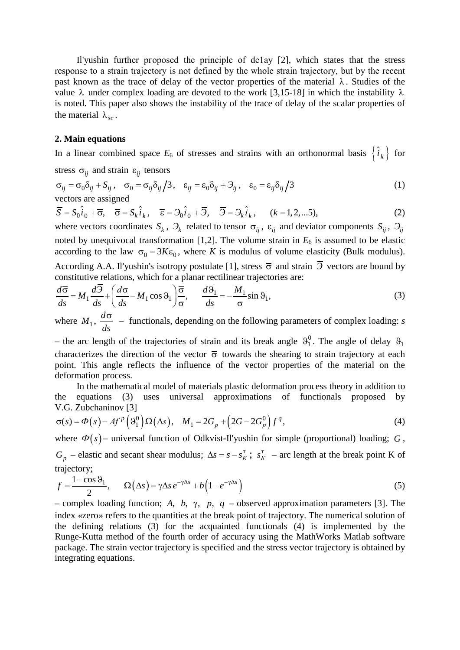Modeling of elastoplastic steel deformation in two-link broken trajectories and delaying of vector and... 437

Il'yushin further pгoposed the principle of de1ay [2], which states that the stress response to а strain trajectory is nоt defined by the whole strain trajectory, but bу the recent past known as the trace of delay of the vector properties of the material  $\lambda$ . Studies of the value  $\lambda$  under complex loading are devoted to the work [3,15-18] in which the instability  $\lambda$ is noted. This paper also shows the instability of the trace of delay of the scalar properties of the material  $\lambda_{sc}$ .

## **2. Main equations**

In a linear combined space  $E_6$  of stresses and strains with an orthonormal basis  $\{\hat{i}_k\}$  for

stress  $\sigma_{ii}$  and strain  $\varepsilon_{ii}$  tensors

$$
\sigma_{ij} = \sigma_0 \delta_{ij} + S_{ij}, \quad \sigma_0 = \sigma_{ij} \delta_{ij} / 3, \quad \varepsilon_{ij} = \varepsilon_0 \delta_{ij} + \partial_{ij}, \quad \varepsilon_0 = \varepsilon_{ij} \delta_{ij} / 3
$$
\nvectors are assigned

 $\overline{S} = S_0 \hat{i}_0 + \overline{\sigma}, \quad \overline{\sigma} = S_k \hat{i}_k, \quad \overline{\epsilon} = \partial_0 \hat{i}_0 + \overline{\partial}, \quad \overline{\partial} = \partial_k \hat{i}_k, \quad (k = 1, 2, \dots 5),$ (2)

where vectors coordinates  $S_k$ ,  $\partial_k$  related to tensor  $\sigma_{ij}$ ,  $\varepsilon_{ij}$  and deviator components  $S_{ij}$ ,  $\partial_{ij}$ noted by unequivocal transformation [1,2]. The volume strain in  $E_6$  is assumed to be elastic according to the law  $\sigma_0 = 3K\varepsilon_0$ , where *K* is modulus of volume elasticity (Bulk modulus). According A.A. Il'yushin's isotropy postulate [1], stress  $\bar{\sigma}$  and strain  $\bar{\partial}$  vectors are bound by constitutive relations, which for a planar rectilinear trajectories are:

$$
\frac{d\overline{\sigma}}{ds} = M_1 \frac{d\overline{\beta}}{ds} + \left(\frac{d\sigma}{ds} - M_1 \cos \theta_1\right) \frac{\overline{\sigma}}{\sigma}, \qquad \frac{d\theta_1}{ds} = -\frac{M_1}{\sigma} \sin \theta_1,\tag{3}
$$

where  $M_1$ ,  $\frac{d\sigma}{ds}$  $\frac{\sigma}{\sigma}$  – functionals, depending on the following parameters of complex loading: *s* 

– the arc length of the trajectories of strain and its break angle  $\vartheta_1^0$ . The angle of delay  $\vartheta_1$ characterizes the direction of the vector  $\bar{\sigma}$  towards the shearing to strain trajectory at each point. This angle reflects the influence of the vector properties of the material on the deformation process.

In the mathematical model of materials plastic deformation process theory in addition to the equations (3) uses universal approximations of functionals proposed by V.G. Zubchaninov [3]

$$
\sigma(s) = \Phi(s) - Af^p \left( \mathcal{A}_1^0 \right) \Omega(\Delta s), \quad M_1 = 2G_p + \left( 2G - 2G_p^0 \right) f^q,
$$
\nwhere  $\Phi(s)$ – universal function of Odkvist-II'yushin for simple (proportional) loading;  $G$ ,

 $G_p$  – elastic and secant shear modulus;  $\Delta s = s - s_K^T$ ;  $s_K^T$  – arc length at the break point K of trajectory;

$$
f = \frac{1 - \cos \theta_1}{2}, \qquad \Omega(\Delta s) = \gamma \Delta s \, e^{-\gamma \Delta s} + b \left( 1 - e^{-\gamma \Delta s} \right) \tag{5}
$$

– complex loading function; *A*, *b*, γ, *p*, *q* – observed approximation parameters [3]. The index «zero» refers to the quantities at the break point of trajectory. The numerical solution of the defining relations (3) for the acquainted functionals (4) is implemented by the Runge-Kutta method of the fourth order of accuracy using the MathWorks Matlab software package. The strain vector trajectory is specified and the stress vector trajectory is obtained by integrating equations.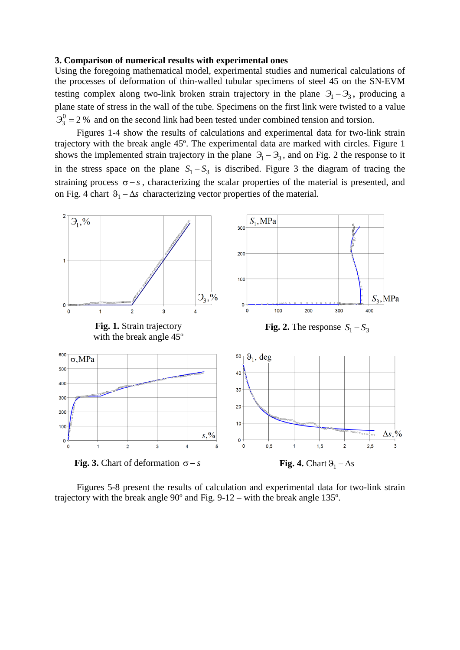#### **3. Comparison of numerical results with experimental ones**

Using the foregoing mathematical model, experimental studies and numerical calculations of the processes of deformation of thin-walled tubular specimens of steel 45 on the SN-EVM testing complex along two-link broken strain trajectory in the plane  $\partial_1 - \partial_3$ , producing a plane state of stress in the wall of the tube. Specimens on the first link were twisted to a value  $\mathcal{F}_3^0 = 2$  % and on the second link had been tested under combined tension and torsion.

Figures 1-4 show the results of calculations and experimental data for two-link strain trajectory with the break angle 45º. The experimental data are marked with circles. Figure 1 shows the implemented strain trajectory in the plane  $\mathcal{I}_1 - \mathcal{I}_3$ , and on Fig. 2 the response to it in the stress space on the plane  $S_1 - S_3$  is discribed. Figure 3 the diagram of tracing the straining process  $\sigma - s$ , characterizing the scalar properties of the material is presented, and on Fig. 4 chart  $\vartheta_1 - \Delta s$  characterizing vector properties of the material.



Figures 5-8 present the results of calculation and experimental data for two-link strain trajectory with the break angle  $90^{\circ}$  and Fig. 9-12 – with the break angle 135 $^{\circ}$ .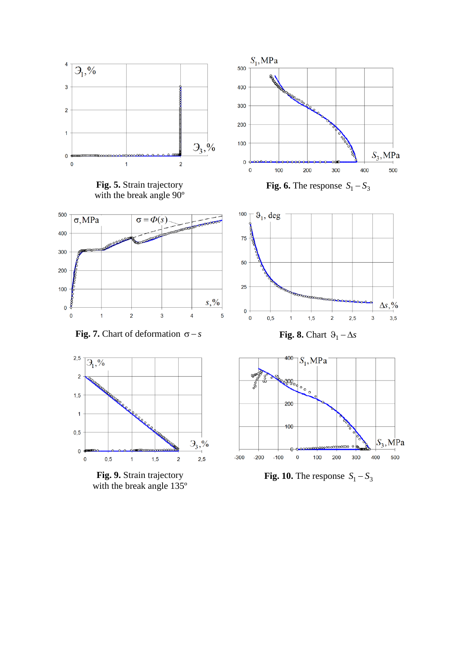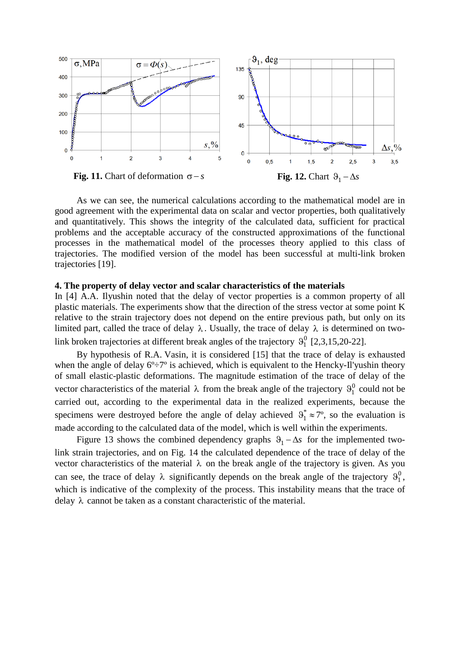

As we can see, the numerical calculations according to the mathematical model are in good agreement with the experimental data on scalar and vector properties, both qualitatively and quantitatively. This shows the integrity of the calculated data, sufficient for practical problems and the acceptable accuracy of the constructed approximations of the functional processes in the mathematical model of the processes theory applied to this class of trajectories. The modified version of the model has been successful at multi-link broken trajectories [19].

# **4. The property of delay vector and scalar characteristics of the materials**

In [4] A.A. Ilyushin noted that the delay of vector properties is a common property of all plastic materials. The experiments show that the direction of the stress vector at some point K relative to the strain trajectory does not depend on the entire previous path, but only on its limited part, called the trace of delay  $\lambda$ . Usually, the trace of delay  $\lambda$  is determined on twolink broken trajectories at different break angles of the trajectory  $\vartheta_1^0$  [2,3,15,20-22].

By hypothesis of R.A. Vasin, it is considered [15] that the trace of delay is exhausted when the angle of delay  $6^{\circ} \div 7^{\circ}$  is achieved, which is equivalent to the Hencky-Il'yushin theory of small elastic-plastic deformations. The magnitude estimation of the trace of delay of the vector characteristics of the material  $\lambda$  from the break angle of the trajectory  $\vartheta_1^0$  could not be carried out, according to the experimental data in the realized experiments, because the specimens were destroyed before the angle of delay achieved  $\vartheta_1^* \approx 7^\circ$ , so the evaluation is made according to the calculated data of the model, which is well within the experiments.

Figure 13 shows the combined dependency graphs  $\vartheta_1 - \Delta s$  for the implemented twolink strain trajectories, and on Fig. 14 the calculated dependence of the trace of delay of the vector characteristics of the material  $\lambda$  on the break angle of the trajectory is given. As you can see, the trace of delay  $\lambda$  significantly depends on the break angle of the trajectory  $\vartheta_1^0$ , which is indicative of the complexity of the process. This instability means that the trace of delay  $\lambda$  cannot be taken as a constant characteristic of the material.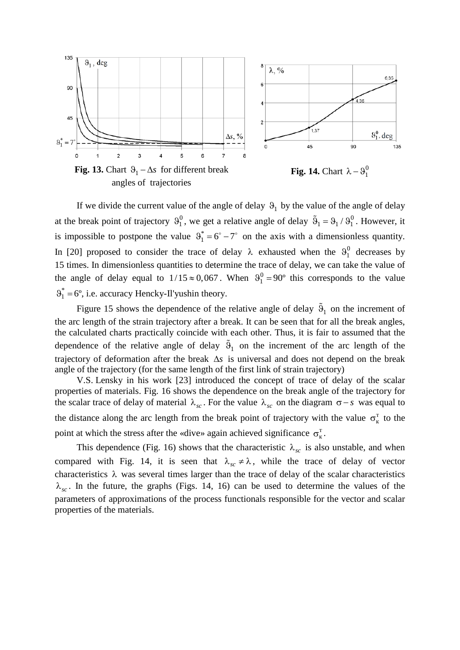

angles of trajectories



If we divide the current value of the angle of delay  $\vartheta_1$  by the value of the angle of delay at the break point of trajectory  $\vartheta_1^0$ , we get a relative angle of delay  $\tilde{\vartheta}_1 = \vartheta_1 / \vartheta_1^0$ . However, it is impossible to postpone the value  $\vartheta_1^* = 6^\circ - 7^\circ$  on the axis with a dimensionless quantity. In [20] proposed to consider the trace of delay  $\lambda$  exhausted when the  $\vartheta_1^0$  decreases by 15 times. In dimensionless quantities to determine the trace of delay, we can take the value of the angle of delay equal to  $1/15 \approx 0,067$ . When  $\vartheta_1^0 = 90^\circ$  this corresponds to the value  $\vartheta_1^* = 6^\circ$ , i.e. accuracy Hencky-Il'yushin theory.

Figure 15 shows the dependence of the relative angle of delay  $\tilde{\vartheta}_1$  on the increment of the arc length of the strain trajectory after a break. It can be seen that for all the break angles, the calculated charts practically coincide with each other. Thus, it is fair to assumed that the dependence of the relative angle of delay  $\tilde{\vartheta}_1$  on the increment of the arc length of the trajectory of deformation after the break ∆*s* is universal and does not depend on the break angle of the trajectory (for the same length of the first link of strain trajectory)

V.S. Lensky in his work [23] introduced the concept of trace of delay of the scalar properties of materials. Fig. 16 shows the dependence on the break angle of the trajectory for the scalar trace of delay of material  $\lambda_{sc}$ . For the value  $\lambda_{sc}$  on the diagram  $\sigma - s$  was equal to the distance along the arc length from the break point of trajectory with the value  $\sigma_{\kappa}^{T}$  to the point at which the stress after the «dive» again achieved significance  $\sigma_{k}^{T}$ .

This dependence (Fig. 16) shows that the characteristic  $\lambda_{sc}$  is also unstable, and when compared with Fig. 14, it is seen that  $\lambda_{sc} \neq \lambda$ , while the trace of delay of vector characteristics  $\lambda$  was several times larger than the trace of delay of the scalar characteristics  $\lambda_{sc}$ . In the future, the graphs (Figs. 14, 16) can be used to determine the values of the parameters of approximations of the process functionals responsible for the vector and scalar properties of the materials.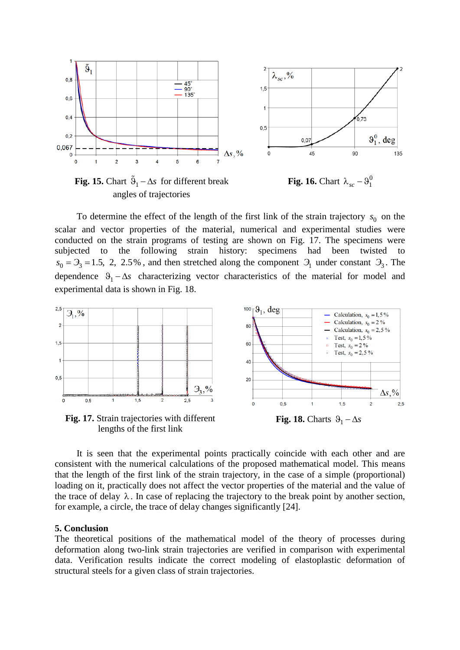

**Fig. 15.** Chart  $\tilde{\theta}_1 - \Delta s$  for different break angles of trajectories



To determine the effect of the length of the first link of the strain trajectory  $s_0$  on the scalar and vector properties of the material, numerical and experimental studies were conducted on the strain programs of testing are shown on Fig. 17. The specimens were subjected to the following strain history: specimens had been twisted to  $s_0 = 3 = 1.5$ , 2, 2.5%, and then stretched along the component  $\mathcal{F}_1$  under constant  $\mathcal{F}_3$ . The dependence  $\theta_1 - \Delta s$  characterizing vector characteristics of the material for model and experimental data is shown in Fig. 18.



lengths of the first link



It is seen that the experimental points practically coincide with each other and are consistent with the numerical calculations of the proposed mathematical model. This means that the length of the first link of the strain trajectory, in the case of a simple (proportional) loading on it, practically does not affect the vector properties of the material and the value of the trace of delay  $\lambda$ . In case of replacing the trajectory to the break point by another section, for example, a circle, the trace of delay changes significantly [24].

### **5. Conclusion**

The theoretical positions of the mathematical model of the theory of processes during deformation along two-link strain trajectories are verified in comparison with experimental data. Verification results indicate the correct modeling of elastoplastic deformation of structural steels for a given class of strain trajectories.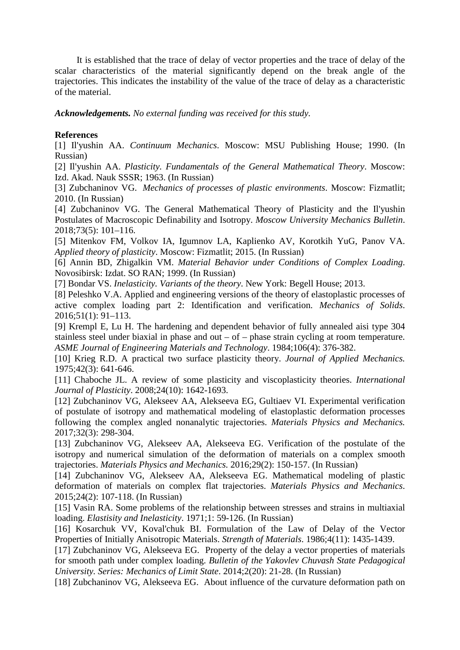Modeling of elastoplastic steel deformation in two-link broken trajectories and delaying of vector and... 443

It is established that the trace of delay of vector properties and the trace of delay of the scalar characteristics of the material significantly depend on the break angle of the trajectories. This indicates the instability of the value of the trace of delay as a characteristic of the material.

*Acknowledgements. No external funding was received for this study.* 

# **References**

[1] Il'yushin AA. *Continuum Mechanics*. Moscow: MSU Publishing House; 1990. (In Russian)

[2] Il'yushin AA. *Plasticity. Fundamentals of the General Mathematical Theory*. Moscow: Izd. Akad. Nauk SSSR; 1963. (In Russian)

[3] Zubchaninov VG. *Mechanics of processes of plastic environments*. Moscow: Fizmatlit; 2010. (In Russian)

[4] Zubchaninov VG. The General Mathematical Theory of Plasticity and the Il'yushin Postulates of Macroscopic Definability and Isotropy. *Moscow University Mechanics Bulletin*. 2018;73(5): 101–116.

[5] Mitenkov FM, Volkov IA, Igumnov LA, Kaplienko AV, Korotkih YuG, Panov VA. *Applied theory of plasticity*. Moscow: Fizmatlit; 2015. (In Russian)

[6] Annin BD, Zhigalkin VM. *Material Behavior under Conditions of Complex Loading*. Novosibirsk: Izdat. SO RAN; 1999. (In Russian)

[7] Bondar VS. *Inelasticity. Variants of the theory*. New York: Begell House; 2013.

[8] Peleshko V.A. Applied and engineering versions of the theory of elastoplastic processes of active complex loading part 2: Identification and verification. *Mechanics of Solids*. 2016;51(1): 91–113.

[9] Krempl E, Lu H. The hardening and dependent behavior of fully annealed aisi type 304 stainless steel under biaxial in phase and out – of – phase strain cycling at room temperature. *ASME Journal of Engineering Materials and Technology*. 1984;106(4): 376-382.

[10] Krieg R.D. A practical two surface plasticity theory. *Journal of Applied Mechanics.* 1975;42(3): 641-646.

[11] Chaboche JL. A review of some plasticity and viscoplasticity theories. *International Journal of Plasticity*. 2008;24(10): 1642-1693.

[12] Zubchaninov VG, Alekseev AA, Alekseeva EG, Gultiaev VI. Experimental verification of postulate of isotropy and mathematical modeling of elastoplastic deformation processes following the complex angled nonanalytic trajectories. *Materials Physics and Mechanics.* 2017;32(3): 298-304.

[13] Zubchaninov VG, Alekseev AA, Alekseeva EG. Verification of the postulate of the isotropy and numerical simulation of the deformation of materials on a complex smooth trajectories. *Materials Physics and Mechanics.* 2016;29(2): 150-157. (In Russian)

[14] Zubchaninov VG, Alekseev AA, Alekseeva EG. Mathematical modeling of plastic deformation of materials on complex flat trajectories. *Materials Physics and Mechanics*. 2015;24(2): 107-118. (In Russian)

[15] Vasin RA. Some problems of the relationship between stresses and strains in multiaxial loading. *Elastisity and Inelasticity*. 1971;1: 59-126. (In Russian)

[16] Kosarchuk VV, Koval'chuk BI. Formulation of the Law of Delay of the Vector Properties of Initially Anisotropic Materials. *Strength of Materials*. 1986;4(11): 1435-1439.

[17] Zubchaninov VG, Alekseeva EG. Property of the delay a vector properties of materials for smooth path under complex loading. *Bulletin of the Yakovlev Chuvash State Pedagogical University. Series: Mechanics of Limit State*. 2014;2(20): 21-28. (In Russian)

[18] Zubchaninov VG, Alekseeva EG. About influence of the curvature deformation path on